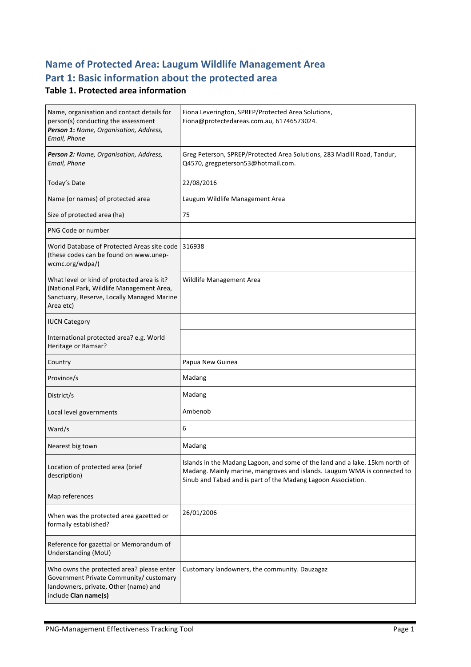# **Name of Protected Area: Laugum Wildlife Management Area** Part 1: Basic information about the protected area

#### **Table 1. Protected area information**

| Name, organisation and contact details for<br>person(s) conducting the assessment<br>Person 1: Name, Organisation, Address,<br>Email, Phone         | Fiona Leverington, SPREP/Protected Area Solutions,<br>Fiona@protectedareas.com.au, 61746573024.                                                                                                                           |
|-----------------------------------------------------------------------------------------------------------------------------------------------------|---------------------------------------------------------------------------------------------------------------------------------------------------------------------------------------------------------------------------|
| Person 2: Name, Organisation, Address,<br>Email, Phone                                                                                              | Greg Peterson, SPREP/Protected Area Solutions, 283 Madill Road, Tandur,<br>Q4570, gregpeterson53@hotmail.com.                                                                                                             |
| Today's Date                                                                                                                                        | 22/08/2016                                                                                                                                                                                                                |
| Name (or names) of protected area                                                                                                                   | Laugum Wildlife Management Area                                                                                                                                                                                           |
| Size of protected area (ha)                                                                                                                         | 75                                                                                                                                                                                                                        |
| PNG Code or number                                                                                                                                  |                                                                                                                                                                                                                           |
| World Database of Protected Areas site code 1316938<br>(these codes can be found on www.unep-<br>wcmc.org/wdpa/)                                    |                                                                                                                                                                                                                           |
| What level or kind of protected area is it?<br>(National Park, Wildlife Management Area,<br>Sanctuary, Reserve, Locally Managed Marine<br>Area etc) | Wildlife Management Area                                                                                                                                                                                                  |
| <b>IUCN Category</b>                                                                                                                                |                                                                                                                                                                                                                           |
| International protected area? e.g. World<br>Heritage or Ramsar?                                                                                     |                                                                                                                                                                                                                           |
|                                                                                                                                                     |                                                                                                                                                                                                                           |
| Country                                                                                                                                             | Papua New Guinea                                                                                                                                                                                                          |
| Province/s                                                                                                                                          | Madang                                                                                                                                                                                                                    |
| District/s                                                                                                                                          | Madang                                                                                                                                                                                                                    |
| Local level governments                                                                                                                             | Ambenob                                                                                                                                                                                                                   |
| Ward/s                                                                                                                                              | 6                                                                                                                                                                                                                         |
| Nearest big town                                                                                                                                    | Madang                                                                                                                                                                                                                    |
| Location of protected area (brief<br>description)                                                                                                   | Islands in the Madang Lagoon, and some of the land and a lake. 15km north of<br>Madang. Mainly marine, mangroves and islands. Laugum WMA is connected to<br>Sinub and Tabad and is part of the Madang Lagoon Association. |
| Map references                                                                                                                                      |                                                                                                                                                                                                                           |
| When was the protected area gazetted or<br>formally established?                                                                                    | 26/01/2006                                                                                                                                                                                                                |
| Reference for gazettal or Memorandum of<br>Understanding (MoU)                                                                                      |                                                                                                                                                                                                                           |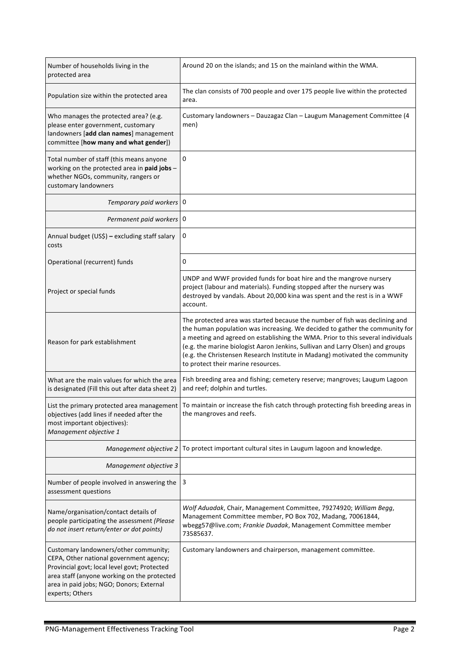| Number of households living in the<br>protected area                                                                                                                                                                                           | Around 20 on the islands; and 15 on the mainland within the WMA.                                                                                                                                                                                                                                                                                                                                                                                     |
|------------------------------------------------------------------------------------------------------------------------------------------------------------------------------------------------------------------------------------------------|------------------------------------------------------------------------------------------------------------------------------------------------------------------------------------------------------------------------------------------------------------------------------------------------------------------------------------------------------------------------------------------------------------------------------------------------------|
| Population size within the protected area                                                                                                                                                                                                      | The clan consists of 700 people and over 175 people live within the protected<br>area.                                                                                                                                                                                                                                                                                                                                                               |
| Who manages the protected area? (e.g.<br>please enter government, customary<br>landowners [add clan names] management<br>committee [how many and what gender])                                                                                 | Customary landowners - Dauzagaz Clan - Laugum Management Committee (4<br>men)                                                                                                                                                                                                                                                                                                                                                                        |
| Total number of staff (this means anyone<br>working on the protected area in paid jobs -<br>whether NGOs, community, rangers or<br>customary landowners                                                                                        | 0                                                                                                                                                                                                                                                                                                                                                                                                                                                    |
| Temporary paid workers   0                                                                                                                                                                                                                     |                                                                                                                                                                                                                                                                                                                                                                                                                                                      |
| Permanent paid workers   0                                                                                                                                                                                                                     |                                                                                                                                                                                                                                                                                                                                                                                                                                                      |
| Annual budget (US\$) - excluding staff salary<br>costs                                                                                                                                                                                         | 0                                                                                                                                                                                                                                                                                                                                                                                                                                                    |
| Operational (recurrent) funds                                                                                                                                                                                                                  | 0                                                                                                                                                                                                                                                                                                                                                                                                                                                    |
| Project or special funds                                                                                                                                                                                                                       | UNDP and WWF provided funds for boat hire and the mangrove nursery<br>project (labour and materials). Funding stopped after the nursery was<br>destroyed by vandals. About 20,000 kina was spent and the rest is in a WWF<br>account.                                                                                                                                                                                                                |
| Reason for park establishment                                                                                                                                                                                                                  | The protected area was started because the number of fish was declining and<br>the human population was increasing. We decided to gather the community for<br>a meeting and agreed on establishing the WMA. Prior to this several individuals<br>(e.g. the marine biologist Aaron Jenkins, Sullivan and Larry Olsen) and groups<br>(e.g. the Christensen Research Institute in Madang) motivated the community<br>to protect their marine resources. |
| What are the main values for which the area<br>is designated (Fill this out after data sheet 2)                                                                                                                                                | Fish breeding area and fishing; cemetery reserve; mangroves; Laugum Lagoon<br>and reef; dolphin and turtles.                                                                                                                                                                                                                                                                                                                                         |
| List the primary protected area management<br>objectives (add lines if needed after the<br>most important objectives):<br>Management objective 1                                                                                               | To maintain or increase the fish catch through protecting fish breeding areas in<br>the mangroves and reefs.                                                                                                                                                                                                                                                                                                                                         |
| Management objective 2                                                                                                                                                                                                                         | To protect important cultural sites in Laugum lagoon and knowledge.                                                                                                                                                                                                                                                                                                                                                                                  |
| Management objective 3                                                                                                                                                                                                                         |                                                                                                                                                                                                                                                                                                                                                                                                                                                      |
| Number of people involved in answering the<br>assessment questions                                                                                                                                                                             | 3                                                                                                                                                                                                                                                                                                                                                                                                                                                    |
| Name/organisation/contact details of<br>people participating the assessment (Please<br>do not insert return/enter or dot points)                                                                                                               | Wolf Aduadak, Chair, Management Committee, 79274920; William Begg,<br>Management Committee member, PO Box 702, Madang, 70061844,<br>wbegg57@live.com; Frankie Duadak, Management Committee member<br>73585637.                                                                                                                                                                                                                                       |
| Customary landowners/other community;<br>CEPA, Other national government agency;<br>Provincial govt; local level govt; Protected<br>area staff (anyone working on the protected<br>area in paid jobs; NGO; Donors; External<br>experts; Others | Customary landowners and chairperson, management committee.                                                                                                                                                                                                                                                                                                                                                                                          |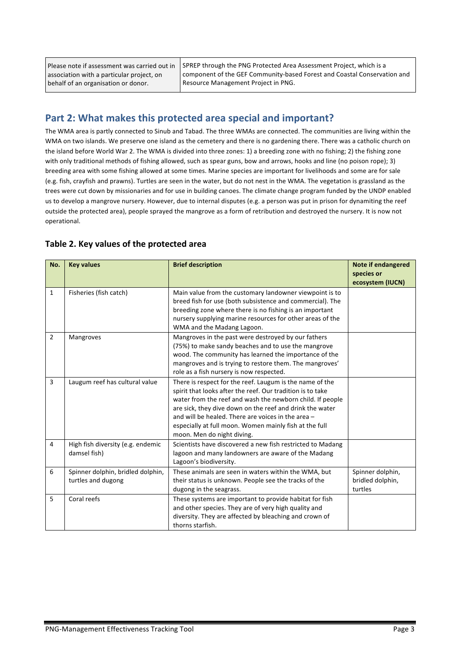Please note if assessment was carried out in association with a particular project, on behalf of an organisation or donor.

SPREP through the PNG Protected Area Assessment Project, which is a component of the GEF Community-based Forest and Coastal Conservation and Resource Management Project in PNG.

### Part 2: What makes this protected area special and important?

The WMA area is partly connected to Sinub and Tabad. The three WMAs are connected. The communities are living within the WMA on two islands. We preserve one island as the cemetery and there is no gardening there. There was a catholic church on the island before World War 2. The WMA is divided into three zones: 1) a breeding zone with no fishing; 2) the fishing zone with only traditional methods of fishing allowed, such as spear guns, bow and arrows, hooks and line (no poison rope); 3) breeding area with some fishing allowed at some times. Marine species are important for livelihoods and some are for sale (e.g. fish, crayfish and prawns). Turtles are seen in the water, but do not nest in the WMA. The vegetation is grassland as the trees were cut down by missionaries and for use in building canoes. The climate change program funded by the UNDP enabled us to develop a mangrove nursery. However, due to internal disputes (e.g. a person was put in prison for dynamiting the reef outside the protected area), people sprayed the mangrove as a form of retribution and destroyed the nursery. It is now not operational. 

| No.            | <b>Key values</b>                                       | <b>Brief description</b>                                                                                                                                                                                                                                                                                                                                                                      | <b>Note if endangered</b><br>species or<br>ecosystem (IUCN) |
|----------------|---------------------------------------------------------|-----------------------------------------------------------------------------------------------------------------------------------------------------------------------------------------------------------------------------------------------------------------------------------------------------------------------------------------------------------------------------------------------|-------------------------------------------------------------|
| $\mathbf{1}$   | Fisheries (fish catch)                                  | Main value from the customary landowner viewpoint is to<br>breed fish for use (both subsistence and commercial). The<br>breeding zone where there is no fishing is an important<br>nursery supplying marine resources for other areas of the<br>WMA and the Madang Lagoon.                                                                                                                    |                                                             |
| $\overline{2}$ | Mangroves                                               | Mangroves in the past were destroyed by our fathers<br>(75%) to make sandy beaches and to use the mangrove<br>wood. The community has learned the importance of the<br>mangroves and is trying to restore them. The mangroves'<br>role as a fish nursery is now respected.                                                                                                                    |                                                             |
| $\overline{3}$ | Laugum reef has cultural value                          | There is respect for the reef. Laugum is the name of the<br>spirit that looks after the reef. Our tradition is to take<br>water from the reef and wash the newborn child. If people<br>are sick, they dive down on the reef and drink the water<br>and will be healed. There are voices in the area -<br>especially at full moon. Women mainly fish at the full<br>moon. Men do night diving. |                                                             |
| 4              | High fish diversity (e.g. endemic<br>damsel fish)       | Scientists have discovered a new fish restricted to Madang<br>lagoon and many landowners are aware of the Madang<br>Lagoon's biodiversity.                                                                                                                                                                                                                                                    |                                                             |
| 6              | Spinner dolphin, bridled dolphin,<br>turtles and dugong | These animals are seen in waters within the WMA, but<br>their status is unknown. People see the tracks of the<br>dugong in the seagrass.                                                                                                                                                                                                                                                      | Spinner dolphin,<br>bridled dolphin,<br>turtles             |
| 5              | Coral reefs                                             | These systems are important to provide habitat for fish<br>and other species. They are of very high quality and<br>diversity. They are affected by bleaching and crown of<br>thorns starfish.                                                                                                                                                                                                 |                                                             |

#### Table 2. Key values of the protected area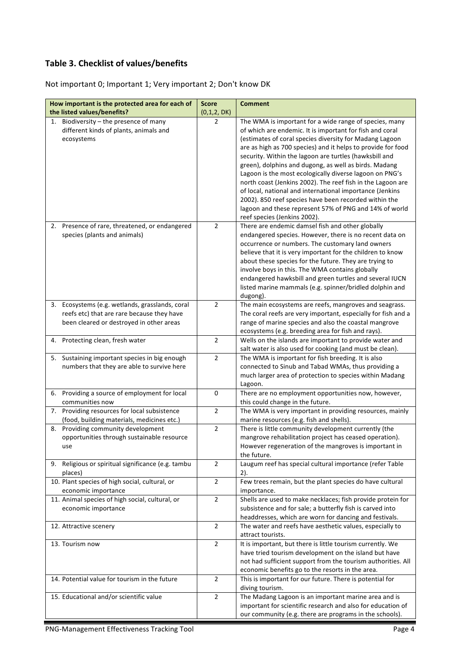### **Table 3. Checklist of values/benefits**

Not important 0; Important 1; Very important 2; Don't know DK

| How important is the protected area for each of<br>the listed values/benefits? | <b>Score</b><br>(0,1,2, DK) | <b>Comment</b>                                                                                                      |
|--------------------------------------------------------------------------------|-----------------------------|---------------------------------------------------------------------------------------------------------------------|
| 1. Biodiversity $-$ the presence of many                                       | $\overline{2}$              | The WMA is important for a wide range of species, many                                                              |
| different kinds of plants, animals and                                         |                             | of which are endemic. It is important for fish and coral                                                            |
| ecosystems                                                                     |                             | (estimates of coral species diversity for Madang Lagoon                                                             |
|                                                                                |                             | are as high as 700 species) and it helps to provide for food                                                        |
|                                                                                |                             | security. Within the lagoon are turtles (hawksbill and                                                              |
|                                                                                |                             | green), dolphins and dugong, as well as birds. Madang                                                               |
|                                                                                |                             | Lagoon is the most ecologically diverse lagoon on PNG's                                                             |
|                                                                                |                             | north coast (Jenkins 2002). The reef fish in the Lagoon are                                                         |
|                                                                                |                             | of local, national and international importance (Jenkins                                                            |
|                                                                                |                             | 2002). 850 reef species have been recorded within the                                                               |
|                                                                                |                             | lagoon and these represent 57% of PNG and 14% of world<br>reef species (Jenkins 2002).                              |
| 2. Presence of rare, threatened, or endangered                                 | $\overline{2}$              | There are endemic damsel fish and other globally                                                                    |
| species (plants and animals)                                                   |                             | endangered species. However, there is no recent data on                                                             |
|                                                                                |                             | occurrence or numbers. The customary land owners                                                                    |
|                                                                                |                             | believe that it is very important for the children to know                                                          |
|                                                                                |                             | about these species for the future. They are trying to                                                              |
|                                                                                |                             | involve boys in this. The WMA contains globally                                                                     |
|                                                                                |                             | endangered hawksbill and green turtles and several IUCN                                                             |
|                                                                                |                             | listed marine mammals (e.g. spinner/bridled dolphin and                                                             |
|                                                                                |                             | dugong).                                                                                                            |
| 3. Ecosystems (e.g. wetlands, grasslands, coral                                | $\overline{2}$              | The main ecosystems are reefs, mangroves and seagrass.                                                              |
| reefs etc) that are rare because they have                                     |                             | The coral reefs are very important, especially for fish and a                                                       |
| been cleared or destroyed in other areas                                       |                             | range of marine species and also the coastal mangrove                                                               |
|                                                                                |                             | ecosystems (e.g. breeding area for fish and rays).                                                                  |
| 4. Protecting clean, fresh water                                               | $\overline{2}$              | Wells on the islands are important to provide water and                                                             |
| 5. Sustaining important species in big enough                                  | $\overline{2}$              | salt water is also used for cooking (and must be clean).<br>The WMA is important for fish breeding. It is also      |
| numbers that they are able to survive here                                     |                             | connected to Sinub and Tabad WMAs, thus providing a                                                                 |
|                                                                                |                             | much larger area of protection to species within Madang                                                             |
|                                                                                |                             | Lagoon.                                                                                                             |
| 6. Providing a source of employment for local                                  | 0                           | There are no employment opportunities now, however,                                                                 |
| communities now                                                                |                             | this could change in the future.                                                                                    |
| 7. Providing resources for local subsistence                                   | $\overline{2}$              | The WMA is very important in providing resources, mainly                                                            |
| (food, building materials, medicines etc.)                                     |                             | marine resources (e.g. fish and shells).                                                                            |
| 8. Providing community development                                             | $\overline{2}$              | There is little community development currently (the                                                                |
| opportunities through sustainable resource                                     |                             | mangrove rehabilitation project has ceased operation).                                                              |
| use                                                                            |                             | However regeneration of the mangroves is important in                                                               |
| Religious or spiritual significance (e.g. tambu<br>9.                          | $\overline{2}$              | the future.<br>Laugum reef has special cultural importance (refer Table                                             |
| places)                                                                        |                             | 2).                                                                                                                 |
| 10. Plant species of high social, cultural, or                                 | $\overline{2}$              | Few trees remain, but the plant species do have cultural                                                            |
| economic importance                                                            |                             | importance.                                                                                                         |
| 11. Animal species of high social, cultural, or                                | $\overline{2}$              | Shells are used to make necklaces; fish provide protein for                                                         |
| economic importance                                                            |                             | subsistence and for sale; a butterfly fish is carved into                                                           |
|                                                                                |                             | headdresses, which are worn for dancing and festivals.                                                              |
| 12. Attractive scenery                                                         | $\overline{2}$              | The water and reefs have aesthetic values, especially to                                                            |
|                                                                                |                             | attract tourists.                                                                                                   |
| 13. Tourism now                                                                | $\overline{2}$              | It is important, but there is little tourism currently. We                                                          |
|                                                                                |                             | have tried tourism development on the island but have                                                               |
|                                                                                |                             | not had sufficient support from the tourism authorities. All                                                        |
|                                                                                |                             | economic benefits go to the resorts in the area.                                                                    |
| 14. Potential value for tourism in the future                                  | $\overline{2}$              | This is important for our future. There is potential for                                                            |
|                                                                                |                             | diving tourism.                                                                                                     |
| 15. Educational and/or scientific value                                        | $\overline{2}$              | The Madang Lagoon is an important marine area and is<br>important for scientific research and also for education of |
|                                                                                |                             | our community (e.g. there are programs in the schools).                                                             |
|                                                                                |                             |                                                                                                                     |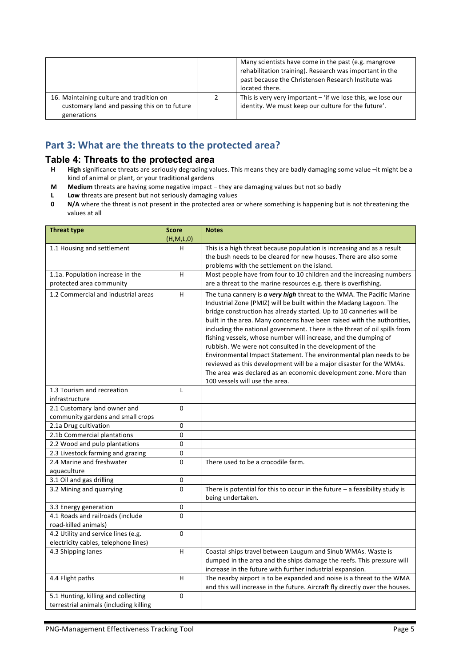|                                                                                                         | Many scientists have come in the past (e.g. mangrove<br>rehabilitation training). Research was important in the<br>past because the Christensen Research Institute was<br>located there. |
|---------------------------------------------------------------------------------------------------------|------------------------------------------------------------------------------------------------------------------------------------------------------------------------------------------|
| 16. Maintaining culture and tradition on<br>customary land and passing this on to future<br>generations | This is very very important $-$ 'if we lose this, we lose our<br>identity. We must keep our culture for the future'.                                                                     |

# Part 3: What are the threats to the protected area?

# **Table 4: Threats to the protected area**<br>**H** High significance threats are seriously degrading va

- High significance threats are seriously degrading values. This means they are badly damaging some value -it might be a kind of animal or plant, or your traditional gardens
- **M Medium** threats are having some negative impact they are damaging values but not so badly
- **L** Low threats are present but not seriously damaging values
- **0 N/A** where the threat is not present in the protected area or where something is happening but is not threatening the values at all

| <b>Threat type</b>                      | <b>Score</b>  | <b>Notes</b>                                                                                                                              |
|-----------------------------------------|---------------|-------------------------------------------------------------------------------------------------------------------------------------------|
|                                         | (H, M, L, 0)  |                                                                                                                                           |
| 1.1 Housing and settlement              | н             | This is a high threat because population is increasing and as a result                                                                    |
|                                         |               | the bush needs to be cleared for new houses. There are also some                                                                          |
|                                         |               | problems with the settlement on the island.                                                                                               |
| 1.1a. Population increase in the        | H             | Most people have from four to 10 children and the increasing numbers                                                                      |
| protected area community                |               | are a threat to the marine resources e.g. there is overfishing.                                                                           |
| 1.2 Commercial and industrial areas     | H             | The tuna cannery is a very high threat to the WMA. The Pacific Marine                                                                     |
|                                         |               | Industrial Zone (PMIZ) will be built within the Madang Lagoon. The<br>bridge construction has already started. Up to 10 canneries will be |
|                                         |               | built in the area. Many concerns have been raised with the authorities,                                                                   |
|                                         |               | including the national government. There is the threat of oil spills from                                                                 |
|                                         |               | fishing vessels, whose number will increase, and the dumping of                                                                           |
|                                         |               | rubbish. We were not consulted in the development of the                                                                                  |
|                                         |               | Environmental Impact Statement. The environmental plan needs to be                                                                        |
|                                         |               | reviewed as this development will be a major disaster for the WMAs.                                                                       |
|                                         |               | The area was declared as an economic development zone. More than                                                                          |
|                                         |               | 100 yessels will use the area.                                                                                                            |
| 1.3 Tourism and recreation              | L             |                                                                                                                                           |
| infrastructure                          |               |                                                                                                                                           |
| 2.1 Customary land owner and            | $\Omega$      |                                                                                                                                           |
| community gardens and small crops       |               |                                                                                                                                           |
| 2.1a Drug cultivation                   | $\mathbf 0$   |                                                                                                                                           |
| 2.1b Commercial plantations             | $\mathbf 0$   |                                                                                                                                           |
| 2.2 Wood and pulp plantations           | $\Omega$      |                                                                                                                                           |
| 2.3 Livestock farming and grazing       | 0             |                                                                                                                                           |
| 2.4 Marine and freshwater               | $\Omega$      | There used to be a crocodile farm.                                                                                                        |
| aquaculture<br>3.1 Oil and gas drilling |               |                                                                                                                                           |
| 3.2 Mining and quarrying                | 0<br>$\Omega$ | There is potential for this to occur in the future $-$ a feasibility study is                                                             |
|                                         |               | being undertaken.                                                                                                                         |
| 3.3 Energy generation                   | 0             |                                                                                                                                           |
| 4.1 Roads and railroads (include        | $\Omega$      |                                                                                                                                           |
| road-killed animals)                    |               |                                                                                                                                           |
| 4.2 Utility and service lines (e.g.     | $\Omega$      |                                                                                                                                           |
| electricity cables, telephone lines)    |               |                                                                                                                                           |
| 4.3 Shipping lanes                      | H             | Coastal ships travel between Laugum and Sinub WMAs. Waste is                                                                              |
|                                         |               | dumped in the area and the ships damage the reefs. This pressure will                                                                     |
|                                         |               | increase in the future with further industrial expansion.                                                                                 |
| 4.4 Flight paths                        | н             | The nearby airport is to be expanded and noise is a threat to the WMA                                                                     |
|                                         |               | and this will increase in the future. Aircraft fly directly over the houses.                                                              |
| 5.1 Hunting, killing and collecting     | $\mathbf 0$   |                                                                                                                                           |
| terrestrial animals (including killing  |               |                                                                                                                                           |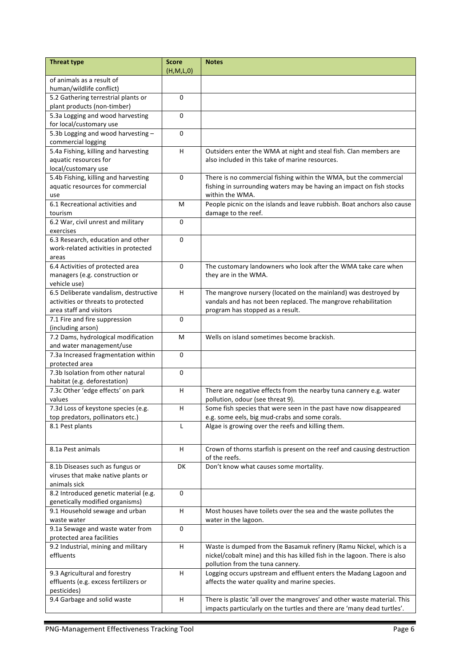| <b>Threat type</b>                                                 | <b>Score</b><br>(H,M,L,0) | <b>Notes</b>                                                                             |
|--------------------------------------------------------------------|---------------------------|------------------------------------------------------------------------------------------|
| of animals as a result of                                          |                           |                                                                                          |
| human/wildlife conflict)                                           |                           |                                                                                          |
| 5.2 Gathering terrestrial plants or<br>plant products (non-timber) | $\Omega$                  |                                                                                          |
| 5.3a Logging and wood harvesting                                   | 0                         |                                                                                          |
| for local/customary use                                            |                           |                                                                                          |
| 5.3b Logging and wood harvesting -<br>commercial logging           | 0                         |                                                                                          |
| 5.4a Fishing, killing and harvesting                               | H                         | Outsiders enter the WMA at night and steal fish. Clan members are                        |
| aquatic resources for<br>local/customary use                       |                           | also included in this take of marine resources.                                          |
| 5.4b Fishing, killing and harvesting                               | 0                         | There is no commercial fishing within the WMA, but the commercial                        |
| aquatic resources for commercial<br>use                            |                           | fishing in surrounding waters may be having an impact on fish stocks<br>within the WMA.  |
| 6.1 Recreational activities and                                    | M                         | People picnic on the islands and leave rubbish. Boat anchors also cause                  |
| tourism                                                            |                           | damage to the reef.                                                                      |
| 6.2 War, civil unrest and military<br>exercises                    | $\Omega$                  |                                                                                          |
| 6.3 Research, education and other                                  | $\Omega$                  |                                                                                          |
| work-related activities in protected                               |                           |                                                                                          |
| areas                                                              |                           |                                                                                          |
| 6.4 Activities of protected area                                   | 0                         | The customary landowners who look after the WMA take care when                           |
| managers (e.g. construction or                                     |                           | they are in the WMA.                                                                     |
| vehicle use)                                                       |                           |                                                                                          |
| 6.5 Deliberate vandalism, destructive                              | H.                        | The mangrove nursery (located on the mainland) was destroyed by                          |
| activities or threats to protected                                 |                           | vandals and has not been replaced. The mangrove rehabilitation                           |
| area staff and visitors                                            |                           | program has stopped as a result.                                                         |
| 7.1 Fire and fire suppression<br>(including arson)                 | 0                         |                                                                                          |
| 7.2 Dams, hydrological modification                                | M                         | Wells on island sometimes become brackish.                                               |
| and water management/use                                           |                           |                                                                                          |
| 7.3a Increased fragmentation within                                | $\Omega$                  |                                                                                          |
| protected area                                                     |                           |                                                                                          |
| 7.3b Isolation from other natural<br>habitat (e.g. deforestation)  | $\mathbf 0$               |                                                                                          |
| 7.3c Other 'edge effects' on park                                  | H.                        | There are negative effects from the nearby tuna cannery e.g. water                       |
| values                                                             |                           | pollution, odour (see threat 9).                                                         |
| 7.3d Loss of keystone species (e.g.                                | H.                        | Some fish species that were seen in the past have now disappeared                        |
| top predators, pollinators etc.)                                   |                           | e.g. some eels, big mud-crabs and some corals.                                           |
| 8.1 Pest plants                                                    | L                         | Algae is growing over the reefs and killing them.                                        |
|                                                                    |                           |                                                                                          |
| 8.1a Pest animals                                                  | H                         | Crown of thorns starfish is present on the reef and causing destruction<br>of the reefs. |
| 8.1b Diseases such as fungus or                                    | DK                        | Don't know what causes some mortality.                                                   |
| viruses that make native plants or                                 |                           |                                                                                          |
| animals sick                                                       |                           |                                                                                          |
| 8.2 Introduced genetic material (e.g.                              | 0                         |                                                                                          |
| genetically modified organisms)                                    |                           |                                                                                          |
| 9.1 Household sewage and urban<br>waste water                      | H                         | Most houses have toilets over the sea and the waste pollutes the<br>water in the lagoon. |
| 9.1a Sewage and waste water from                                   | 0                         |                                                                                          |
| protected area facilities                                          |                           |                                                                                          |
| 9.2 Industrial, mining and military                                | H                         | Waste is dumped from the Basamuk refinery (Ramu Nickel, which is a                       |
| effluents                                                          |                           | nickel/cobalt mine) and this has killed fish in the lagoon. There is also                |
|                                                                    |                           | pollution from the tuna cannery.                                                         |
| 9.3 Agricultural and forestry                                      | H                         | Logging occurs upstream and effluent enters the Madang Lagoon and                        |
| effluents (e.g. excess fertilizers or                              |                           | affects the water quality and marine species.                                            |
| pesticides)                                                        |                           |                                                                                          |
| 9.4 Garbage and solid waste                                        | H                         | There is plastic 'all over the mangroves' and other waste material. This                 |
|                                                                    |                           | impacts particularly on the turtles and there are 'many dead turtles'.                   |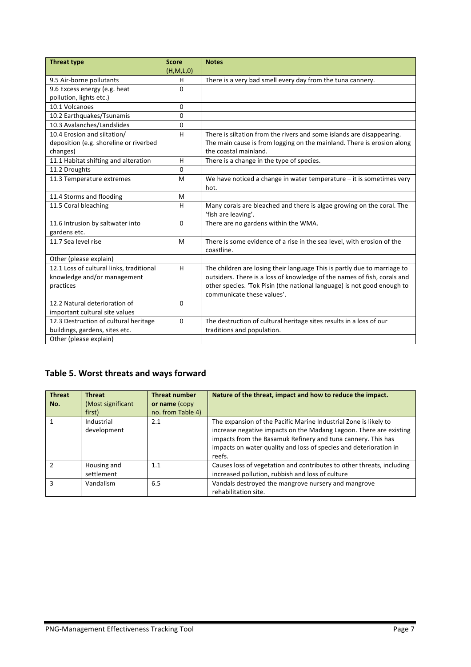| <b>Threat type</b>                       | <b>Score</b> | <b>Notes</b>                                                             |
|------------------------------------------|--------------|--------------------------------------------------------------------------|
|                                          | (H,M,L,0)    |                                                                          |
| 9.5 Air-borne pollutants                 | н            | There is a very bad smell every day from the tuna cannery.               |
| 9.6 Excess energy (e.g. heat             | $\Omega$     |                                                                          |
| pollution, lights etc.)                  |              |                                                                          |
| 10.1 Volcanoes                           | 0            |                                                                          |
| 10.2 Earthquakes/Tsunamis                | 0            |                                                                          |
| 10.3 Avalanches/Landslides               | 0            |                                                                          |
| 10.4 Erosion and siltation/              | H            | There is siltation from the rivers and some islands are disappearing.    |
| deposition (e.g. shoreline or riverbed   |              | The main cause is from logging on the mainland. There is erosion along   |
| changes)                                 |              | the coastal mainland.                                                    |
| 11.1 Habitat shifting and alteration     | H.           | There is a change in the type of species.                                |
| 11.2 Droughts                            | 0            |                                                                          |
| 11.3 Temperature extremes                | M            | We have noticed a change in water temperature $-$ it is sometimes very   |
|                                          |              | hot.                                                                     |
| 11.4 Storms and flooding                 | M            |                                                                          |
| 11.5 Coral bleaching                     | н            | Many corals are bleached and there is algae growing on the coral. The    |
|                                          |              | 'fish are leaving'.                                                      |
| 11.6 Intrusion by saltwater into         | $\mathbf{0}$ | There are no gardens within the WMA.                                     |
| gardens etc.                             |              |                                                                          |
| 11.7 Sea level rise                      | M            | There is some evidence of a rise in the sea level, with erosion of the   |
|                                          |              | coastline.                                                               |
| Other (please explain)                   |              |                                                                          |
| 12.1 Loss of cultural links, traditional | H            | The children are losing their language This is partly due to marriage to |
| knowledge and/or management              |              | outsiders. There is a loss of knowledge of the names of fish, corals and |
| practices                                |              | other species. 'Tok Pisin (the national language) is not good enough to  |
|                                          |              | communicate these values'.                                               |
| 12.2 Natural deterioration of            | $\Omega$     |                                                                          |
| important cultural site values           |              |                                                                          |
| 12.3 Destruction of cultural heritage    | $\Omega$     | The destruction of cultural heritage sites results in a loss of our      |
| buildings, gardens, sites etc.           |              | traditions and population.                                               |
| Other (please explain)                   |              |                                                                          |

# **Table 5. Worst threats and ways forward**

| <b>Threat</b><br>No. | <b>Threat</b><br>(Most significant<br>first) | <b>Threat number</b><br>or name (copy<br>no. from Table 4) | Nature of the threat, impact and how to reduce the impact.                                                                                                                                                                                                                            |
|----------------------|----------------------------------------------|------------------------------------------------------------|---------------------------------------------------------------------------------------------------------------------------------------------------------------------------------------------------------------------------------------------------------------------------------------|
|                      | Industrial<br>development                    | 2.1                                                        | The expansion of the Pacific Marine Industrial Zone is likely to<br>increase negative impacts on the Madang Lagoon. There are existing<br>impacts from the Basamuk Refinery and tuna cannery. This has<br>impacts on water quality and loss of species and deterioration in<br>reefs. |
|                      | Housing and<br>settlement                    | 1.1                                                        | Causes loss of vegetation and contributes to other threats, including<br>increased pollution, rubbish and loss of culture                                                                                                                                                             |
|                      | Vandalism                                    | 6.5                                                        | Vandals destroyed the mangrove nursery and mangrove<br>rehabilitation site.                                                                                                                                                                                                           |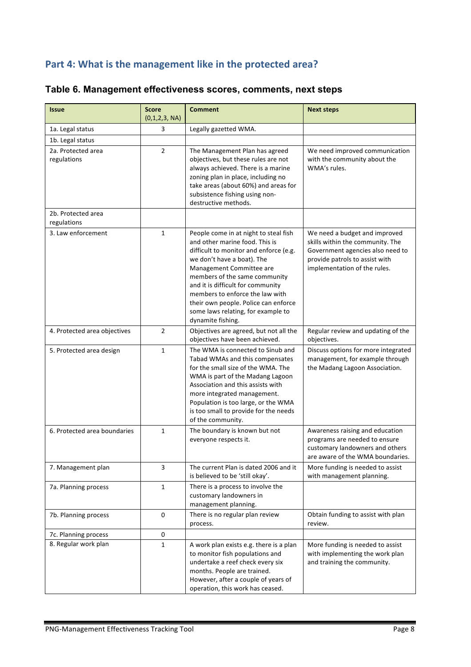### Part 4: What is the management like in the protected area?

| <b>Issue</b>                      | <b>Score</b><br>(0,1,2,3, NA) | <b>Comment</b>                                                                                                                                                                                                                                                                                                                                                                          | <b>Next steps</b>                                                                                                                                                       |
|-----------------------------------|-------------------------------|-----------------------------------------------------------------------------------------------------------------------------------------------------------------------------------------------------------------------------------------------------------------------------------------------------------------------------------------------------------------------------------------|-------------------------------------------------------------------------------------------------------------------------------------------------------------------------|
| 1a. Legal status                  | 3                             | Legally gazetted WMA.                                                                                                                                                                                                                                                                                                                                                                   |                                                                                                                                                                         |
| 1b. Legal status                  |                               |                                                                                                                                                                                                                                                                                                                                                                                         |                                                                                                                                                                         |
| 2a. Protected area<br>regulations | $\overline{2}$                | The Management Plan has agreed<br>objectives, but these rules are not<br>always achieved. There is a marine<br>zoning plan in place, including no<br>take areas (about 60%) and areas for<br>subsistence fishing using non-<br>destructive methods.                                                                                                                                     | We need improved communication<br>with the community about the<br>WMA's rules.                                                                                          |
| 2b. Protected area<br>regulations |                               |                                                                                                                                                                                                                                                                                                                                                                                         |                                                                                                                                                                         |
| 3. Law enforcement                | $\mathbf{1}$                  | People come in at night to steal fish<br>and other marine food. This is<br>difficult to monitor and enforce (e.g.<br>we don't have a boat). The<br>Management Committee are<br>members of the same community<br>and it is difficult for community<br>members to enforce the law with<br>their own people. Police can enforce<br>some laws relating, for example to<br>dynamite fishing. | We need a budget and improved<br>skills within the community. The<br>Government agencies also need to<br>provide patrols to assist with<br>implementation of the rules. |
| 4. Protected area objectives      | $\overline{2}$                | Objectives are agreed, but not all the<br>objectives have been achieved.                                                                                                                                                                                                                                                                                                                | Regular review and updating of the<br>objectives.                                                                                                                       |
| 5. Protected area design          | $\mathbf{1}$                  | The WMA is connected to Sinub and<br>Tabad WMAs and this compensates<br>for the small size of the WMA. The<br>WMA is part of the Madang Lagoon<br>Association and this assists with<br>more integrated management.<br>Population is too large, or the WMA<br>is too small to provide for the needs<br>of the community.                                                                 | Discuss options for more integrated<br>management, for example through<br>the Madang Lagoon Association.                                                                |
| 6. Protected area boundaries      | $\mathbf{1}$                  | The boundary is known but not<br>everyone respects it.                                                                                                                                                                                                                                                                                                                                  | Awareness raising and education<br>programs are needed to ensure<br>customary landowners and others<br>are aware of the WMA boundaries.                                 |
| 7. Management plan                | 3                             | The current Plan is dated 2006 and it<br>is believed to be 'still okay'.                                                                                                                                                                                                                                                                                                                | More funding is needed to assist<br>with management planning.                                                                                                           |
| 7a. Planning process              | $\mathbf{1}$                  | There is a process to involve the<br>customary landowners in<br>management planning.                                                                                                                                                                                                                                                                                                    |                                                                                                                                                                         |
| 7b. Planning process              | 0                             | There is no regular plan review<br>process.                                                                                                                                                                                                                                                                                                                                             | Obtain funding to assist with plan<br>review.                                                                                                                           |
| 7c. Planning process              | 0                             |                                                                                                                                                                                                                                                                                                                                                                                         |                                                                                                                                                                         |
| 8. Regular work plan              | $\mathbf{1}$                  | A work plan exists e.g. there is a plan<br>to monitor fish populations and<br>undertake a reef check every six<br>months. People are trained.<br>However, after a couple of years of<br>operation, this work has ceased.                                                                                                                                                                | More funding is needed to assist<br>with implementing the work plan<br>and training the community.                                                                      |

# **Table 6. Management effectiveness scores, comments, next steps**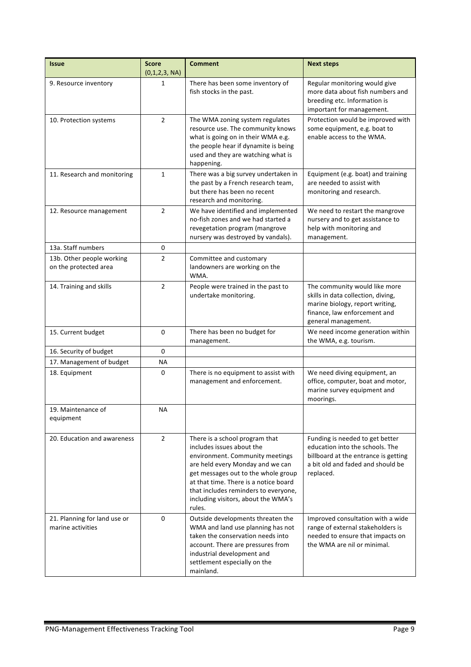| <b>Issue</b>                                       | <b>Score</b><br>(0,1,2,3, NA) | <b>Comment</b>                                                                                                                                                                                                                                                                                              | <b>Next steps</b>                                                                                                                                             |
|----------------------------------------------------|-------------------------------|-------------------------------------------------------------------------------------------------------------------------------------------------------------------------------------------------------------------------------------------------------------------------------------------------------------|---------------------------------------------------------------------------------------------------------------------------------------------------------------|
| 9. Resource inventory                              | 1                             | There has been some inventory of<br>fish stocks in the past.                                                                                                                                                                                                                                                | Regular monitoring would give<br>more data about fish numbers and<br>breeding etc. Information is<br>important for management.                                |
| 10. Protection systems                             | $\overline{2}$                | The WMA zoning system regulates<br>resource use. The community knows<br>what is going on in their WMA e.g.<br>the people hear if dynamite is being<br>used and they are watching what is<br>happening.                                                                                                      | Protection would be improved with<br>some equipment, e.g. boat to<br>enable access to the WMA.                                                                |
| 11. Research and monitoring                        | $\mathbf{1}$                  | There was a big survey undertaken in<br>the past by a French research team,<br>but there has been no recent<br>research and monitoring.                                                                                                                                                                     | Equipment (e.g. boat) and training<br>are needed to assist with<br>monitoring and research.                                                                   |
| 12. Resource management                            | $\overline{2}$                | We have identified and implemented<br>no-fish zones and we had started a<br>revegetation program (mangrove<br>nursery was destroyed by vandals).                                                                                                                                                            | We need to restart the mangrove<br>nursery and to get assistance to<br>help with monitoring and<br>management.                                                |
| 13a. Staff numbers                                 | 0                             |                                                                                                                                                                                                                                                                                                             |                                                                                                                                                               |
| 13b. Other people working<br>on the protected area | $\overline{2}$                | Committee and customary<br>landowners are working on the<br>WMA.                                                                                                                                                                                                                                            |                                                                                                                                                               |
| 14. Training and skills                            | $\overline{2}$                | People were trained in the past to<br>undertake monitoring.                                                                                                                                                                                                                                                 | The community would like more<br>skills in data collection, diving,<br>marine biology, report writing,<br>finance, law enforcement and<br>general management. |
| 15. Current budget                                 | 0                             | There has been no budget for<br>management.                                                                                                                                                                                                                                                                 | We need income generation within<br>the WMA, e.g. tourism.                                                                                                    |
| 16. Security of budget                             | 0                             |                                                                                                                                                                                                                                                                                                             |                                                                                                                                                               |
| 17. Management of budget                           | ΝA                            |                                                                                                                                                                                                                                                                                                             |                                                                                                                                                               |
| 18. Equipment                                      | 0                             | There is no equipment to assist with<br>management and enforcement.                                                                                                                                                                                                                                         | We need diving equipment, an<br>office, computer, boat and motor,<br>marine survey equipment and<br>moorings.                                                 |
| 19. Maintenance of<br>equipment                    | NA                            |                                                                                                                                                                                                                                                                                                             |                                                                                                                                                               |
| 20. Education and awareness                        | $\overline{2}$                | There is a school program that<br>includes issues about the<br>environment. Community meetings<br>are held every Monday and we can<br>get messages out to the whole group<br>at that time. There is a notice board<br>that includes reminders to everyone,<br>including visitors, about the WMA's<br>rules. | Funding is needed to get better<br>education into the schools. The<br>billboard at the entrance is getting<br>a bit old and faded and should be<br>replaced.  |
| 21. Planning for land use or<br>marine activities  | 0                             | Outside developments threaten the<br>WMA and land use planning has not<br>taken the conservation needs into<br>account. There are pressures from<br>industrial development and<br>settlement especially on the<br>mainland.                                                                                 | Improved consultation with a wide<br>range of external stakeholders is<br>needed to ensure that impacts on<br>the WMA are nil or minimal.                     |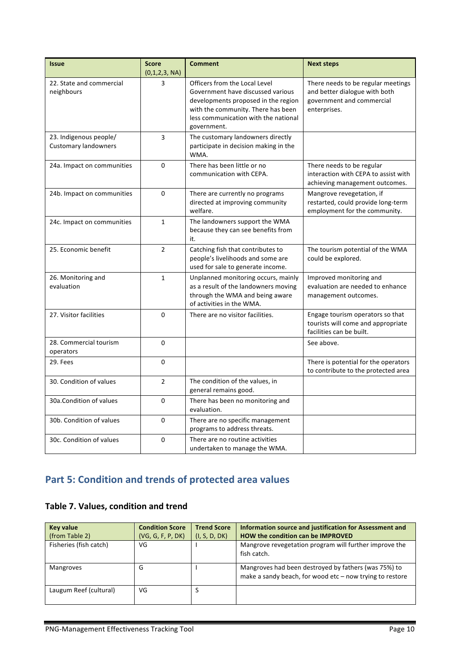| <b>Issue</b>                                          | <b>Score</b><br>(0,1,2,3, NA) | <b>Comment</b>                                                                                                                                                                                         | <b>Next steps</b>                                                                                                |
|-------------------------------------------------------|-------------------------------|--------------------------------------------------------------------------------------------------------------------------------------------------------------------------------------------------------|------------------------------------------------------------------------------------------------------------------|
| 22. State and commercial<br>neighbours                | 3                             | Officers from the Local Level<br>Government have discussed various<br>developments proposed in the region<br>with the community. There has been<br>less communication with the national<br>government. | There needs to be regular meetings<br>and better dialogue with both<br>government and commercial<br>enterprises. |
| 23. Indigenous people/<br><b>Customary landowners</b> | 3                             | The customary landowners directly<br>participate in decision making in the<br>WMA.                                                                                                                     |                                                                                                                  |
| 24a. Impact on communities                            | $\Omega$                      | There has been little or no<br>communication with CEPA.                                                                                                                                                | There needs to be regular<br>interaction with CEPA to assist with<br>achieving management outcomes.              |
| 24b. Impact on communities                            | $\Omega$                      | There are currently no programs<br>directed at improving community<br>welfare.                                                                                                                         | Mangrove revegetation, if<br>restarted, could provide long-term<br>employment for the community.                 |
| 24c. Impact on communities                            | $\mathbf{1}$                  | The landowners support the WMA<br>because they can see benefits from<br>it.                                                                                                                            |                                                                                                                  |
| 25. Economic benefit                                  | $\overline{2}$                | Catching fish that contributes to<br>people's livelihoods and some are<br>used for sale to generate income.                                                                                            | The tourism potential of the WMA<br>could be explored.                                                           |
| 26. Monitoring and<br>evaluation                      | $\mathbf{1}$                  | Unplanned monitoring occurs, mainly<br>as a result of the landowners moving<br>through the WMA and being aware<br>of activities in the WMA.                                                            | Improved monitoring and<br>evaluation are needed to enhance<br>management outcomes.                              |
| 27. Visitor facilities                                | $\Omega$                      | There are no visitor facilities.                                                                                                                                                                       | Engage tourism operators so that<br>tourists will come and appropriate<br>facilities can be built.               |
| 28. Commercial tourism<br>operators                   | 0                             |                                                                                                                                                                                                        | See above.                                                                                                       |
| 29. Fees                                              | 0                             |                                                                                                                                                                                                        | There is potential for the operators<br>to contribute to the protected area                                      |
| 30. Condition of values                               | $\overline{2}$                | The condition of the values, in<br>general remains good.                                                                                                                                               |                                                                                                                  |
| 30a. Condition of values                              | $\Omega$                      | There has been no monitoring and<br>evaluation.                                                                                                                                                        |                                                                                                                  |
| 30b. Condition of values                              | $\Omega$                      | There are no specific management<br>programs to address threats.                                                                                                                                       |                                                                                                                  |
| 30c. Condition of values                              | 0                             | There are no routine activities<br>undertaken to manage the WMA.                                                                                                                                       |                                                                                                                  |

# **Part 5: Condition and trends of protected area values**

### **Table 7. Values, condition and trend**

| Key value              | <b>Condition Score</b> | <b>Trend Score</b> | Information source and justification for Assessment and                                                          |
|------------------------|------------------------|--------------------|------------------------------------------------------------------------------------------------------------------|
| (from Table 2)         | (VG, G, F, P, DK)      | (I, S, D, DK)      | <b>HOW the condition can be IMPROVED</b>                                                                         |
| Fisheries (fish catch) | VG                     |                    | Mangrove revegetation program will further improve the<br>fish catch.                                            |
| <b>Mangroves</b>       | G                      |                    | Mangroves had been destroyed by fathers (was 75%) to<br>make a sandy beach, for wood etc - now trying to restore |
| Laugum Reef (cultural) | VG                     |                    |                                                                                                                  |